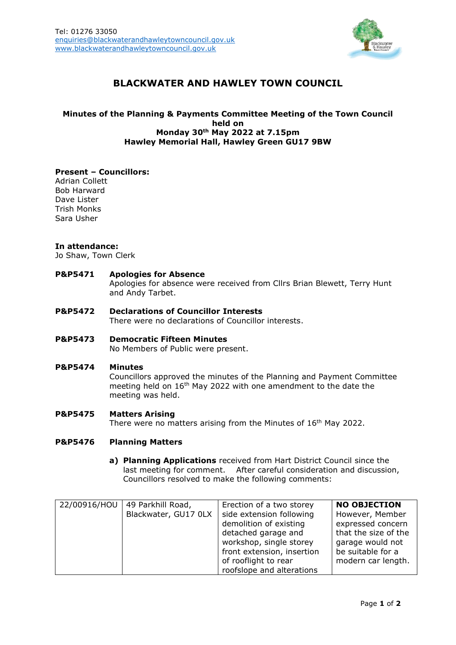

# **BLACKWATER AND HAWLEY TOWN COUNCIL**

# **Minutes of the Planning & Payments Committee Meeting of the Town Council held on Monday 30th May 2022 at 7.15pm Hawley Memorial Hall, Hawley Green GU17 9BW**

### **Present – Councillors:**

Adrian Collett Bob Harward Dave Lister Trish Monks Sara Usher

### **In attendance:**

Jo Shaw, Town Clerk

## **P&P5471 Apologies for Absence**

Apologies for absence were received from Cllrs Brian Blewett, Terry Hunt and Andy Tarbet.

#### **P&P5472 Declarations of Councillor Interests** There were no declarations of Councillor interests.

# **P&P5473 Democratic Fifteen Minutes**

No Members of Public were present.

#### **P&P5474 Minutes**

Councillors approved the minutes of the Planning and Payment Committee meeting held on 16<sup>th</sup> May 2022 with one amendment to the date the meeting was held.

#### **P&P5475 Matters Arising**

There were no matters arising from the Minutes of 16<sup>th</sup> May 2022.

### **P&P5476 Planning Matters**

**a) Planning Applications** received from Hart District Council since the last meeting for comment. After careful consideration and discussion, Councillors resolved to make the following comments:

| 22/00916/HOU   49 Parkhill Road, | Erection of a two storey   | <b>NO OBJECTION</b>  |
|----------------------------------|----------------------------|----------------------|
| Blackwater, GU17 0LX             | side extension following   | However, Member      |
|                                  | demolition of existing     | expressed concern    |
|                                  | detached garage and        | that the size of the |
|                                  | workshop, single storey    | garage would not     |
|                                  | front extension, insertion | be suitable for a    |
|                                  | of rooflight to rear       | modern car length.   |
|                                  | roofslope and alterations  |                      |